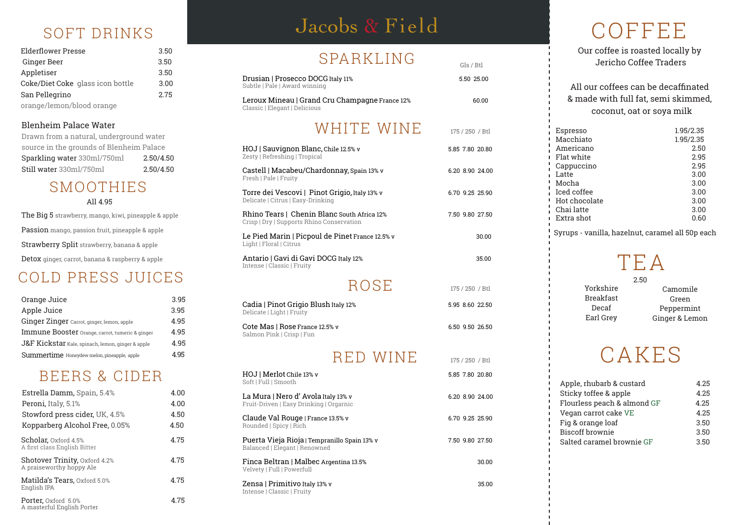## CAKES

| Orange Juice                                      | 3.95 |
|---------------------------------------------------|------|
| Apple Juice                                       | 3.95 |
| Ginger Zinger Carrot, ginger, lemon, apple        | 4.95 |
| Immune Booster Orange, carrot, tumeric & ginger   | 4.95 |
| J&F Kickstar Kale, spinach, lemon, ginger & apple | 4.95 |
| Summertime Honeydew melon, pineapple, apple       | 4 95 |

## SOFT DRINKS Jacobs & Field COFFEE Jacobs & Field

## SPARKLING

Our coffee is roasted locally by Jericho Coffee Traders

### All our coffees can be decaffinated & made with full fat, semi skimmed, coconut, oat or soya milk

| Ginger Beer                                                                                                               | 3.5U                   | UI <i>I</i> II (II II II V U                                                   | Gls / Btl       | Jericho Coffee Traders                              |              |
|---------------------------------------------------------------------------------------------------------------------------|------------------------|--------------------------------------------------------------------------------|-----------------|-----------------------------------------------------|--------------|
| Appletiser                                                                                                                | 3.50                   | Drusian   Prosecco DOCG Italy 11%                                              | 5.50 25.00      |                                                     |              |
| Coke/Diet Coke glass icon bottle<br>San Pellegrino                                                                        | 3.00<br>2.75           | Subtle   Pale   Award winning                                                  |                 | All our coffees can be decaffinated                 |              |
| orange/lemon/blood orange                                                                                                 |                        | Leroux Mineau   Grand Cru Champagne France 12%                                 | 60.00           | & made with full fat, semi skimmed                  |              |
|                                                                                                                           |                        | Classic   Elegant   Delicious                                                  |                 | coconut, oat or soya milk                           |              |
| <b>Blenheim Palace Water</b>                                                                                              |                        | WHITE WINE                                                                     | 175 / 250 / Btl | Espresso                                            | 1.95/2.35    |
| Drawn from a natural, underground water                                                                                   |                        |                                                                                |                 | Macchiato                                           | 1.95/2.35    |
| source in the grounds of Blenheim Palace                                                                                  |                        | HOJ   Sauvignon Blanc, Chile 12.5% v<br>Zesty   Refreshing   Tropical          | 5.85 7.80 20.80 | Americano<br>Flat white                             | 2.50<br>2.95 |
| Sparkling water 330ml/750ml<br>Still water 330ml/750ml                                                                    | 2.50/4.50<br>2.50/4.50 |                                                                                |                 | Cappuccino                                          | 2.95         |
|                                                                                                                           |                        | Castell   Macabeu/Chardonnay, Spain 13% v<br>Fresh   Pale   Fruity             | 6.20 8.90 24.00 | Latte                                               | 3.00         |
| SMOOTHIES                                                                                                                 |                        | Torre dei Vescovi   Pinot Grigio, Italy 13% v                                  | 6.70 9.25 25.90 | Mocha<br>Iced coffee                                | 3.00<br>3.00 |
| All 4.95                                                                                                                  |                        | Delicate   Citrus   Easy-Drinking                                              |                 | Hot chocolate                                       | 3.00         |
| The Big 5 strawberry, mango, kiwi, pineapple & apple                                                                      |                        | Rhino Tears   Chenin Blanc South Africa 12%                                    | 7.50 9.80 27.50 | Chai latte<br>Extra shot                            | 3.00<br>0.60 |
| Passion mango, passion fruit, pineapple & apple                                                                           |                        | Crisp   Dry   Supports Rhino Conservation                                      |                 |                                                     |              |
|                                                                                                                           |                        | Le Pied Marin   Picpoul de Pinet France 12.5% v                                | 30.00           | Syrups - vanilla, hazelnut, caramel all 50p ea      |              |
| Strawberry Split strawberry, banana & apple                                                                               |                        | Light   Floral   Citrus                                                        |                 |                                                     |              |
| Detox ginger, carrot, banana & raspberry & apple                                                                          |                        | Antario   Gavi di Gavi DOCG Italy 12%<br>Intense   Classic   Fruity            | 35.00           | TEA                                                 |              |
| COLD PRESS JUICES                                                                                                         |                        |                                                                                |                 | 2.50                                                |              |
|                                                                                                                           |                        | ROSE                                                                           | 175 / 250 / Btl | Yorkshire<br>Camomile                               |              |
| Orange Juice                                                                                                              | 3.95                   | Cadia   Pinot Grigio Blush Italy 12%                                           | 5.95 8.60 22.50 | <b>Breakfast</b><br>Green                           |              |
| <b>Apple Juice</b>                                                                                                        | 3.95                   | Delicate   Light   Fruity                                                      |                 | Decaf<br>Peppermint<br>Earl Grey<br>Ginger & Lemon  |              |
| Ginger Zinger Carrot, ginger, lemon, apple                                                                                | 4.95                   | Cote Mas   Rose France 12.5% v                                                 | 6.50 9.50 26.50 |                                                     |              |
| <b>Immune Booster</b> Orange, carrot, tumeric & ginger                                                                    | 4.95<br>4.95           | Salmon Pink   Crisp   Fun                                                      |                 |                                                     |              |
| ${\rm J}\&{\rm F}$ Kic ${\rm k}$ star Kale, spinach, lemon, ginger & apple<br>Summertime Honeydew melon, pineapple, apple | 4.95                   |                                                                                |                 | CAKES                                               |              |
|                                                                                                                           |                        | <b>RED WINE</b>                                                                | 175 / 250 / Btl |                                                     |              |
| BEERS & CIDER                                                                                                             |                        | HOJ   Merlot Chile 13% v                                                       | 5.85 7.80 20.80 |                                                     |              |
| Estrella Damm, Spain, 5.4%                                                                                                | 4.00                   | Soft   Full   Smooth                                                           |                 | Apple, rhubarb & custard<br>Sticky toffee & apple   | 4.25<br>4.25 |
| Peroni, Italy, 5.1%                                                                                                       | 4.00                   | La Mura   Nero d' Avola Italy 13% v<br>Fruit-Driven   Easy Drinking   Orgarnic | 6.20 8.90 24.00 | Flourless peach & almond GF                         | 4.25         |
| Stowford press cider, UK, 4.5%                                                                                            | 4.50                   |                                                                                |                 | Vegan carrot cake VE                                | 4.25         |
| Kopparberg Alcohol Free, 0.05%                                                                                            | 4.50                   | Claude Val Rouge   France 13.5% v<br>Rounded   Spicy   Rich                    | 6.70 9.25 25.90 | Fig & orange loaf                                   | 3.50         |
| Scholar, Oxford 4.5%                                                                                                      | 4.75                   | Puerta Vieja Rioja   Tempranillo Spain 13% v                                   | 7.50 9.80 27.50 | <b>Biscoff brownie</b><br>Salted caramel brownie GF | 3.50<br>3.50 |
| A first class English Bitter                                                                                              |                        | Balanced   Elegant   Renowned                                                  |                 |                                                     |              |
| Shotover Trinity, Oxford 4.2%<br>A praiseworthy hoppy Ale                                                                 | 4.75                   | Finca Beltran   Malbec Argentina 13.5%<br>Velvety   Full   Powerfull           | 30.00           |                                                     |              |
| Matilda's Tears, Oxford 5.0%<br>English IPA                                                                               | 4.75                   | Zensa   Primitivo Italy 13% v<br>Intense   Classic   Fruity                    | 35.00           |                                                     |              |
|                                                                                                                           |                        |                                                                                |                 |                                                     |              |

| <b>Espresso</b> | 1.95/2.35 |
|-----------------|-----------|
| Macchiato       | 1.95/2.35 |
| Americano       | 2.50      |
| Flat white      | 2.95      |
| Cappuccino      | 2.95      |
| Latte           | 3.00      |
| Mocha           | 3.00      |
| Iced coffee     | 3.00      |
| Hot chocolate   | 3.00      |
| Chai latte      | 3.00      |
| Extra shot      | 0.60      |
|                 |           |

Syrups - vanilla, hazelnut, caramel all 50p each

# TEA

### 2.50

| <b>Elderflower Presse</b>        | 3.50 |
|----------------------------------|------|
| <b>Ginger Beer</b>               | 3.50 |
| Appletiser                       | 3.50 |
| Coke/Diet Coke glass icon bottle | 3.00 |
| San Pellegrino                   | 2.75 |
| orange/lemon/blood orange        |      |

## SMOOTHIES All 4.95

## COLD PRESS JUICES

## BEERS & CIDER

### Blenheim Palace Water

| Drawn from a natural, underground water  |           |
|------------------------------------------|-----------|
| source in the grounds of Blenheim Palace |           |
| Sparkling water 330ml/750ml              | 2.50/4.50 |
| Still water 330ml/750ml                  | 2.50/4.50 |

| Estrella Damm, Spain, 5.4%                                       | 4.00 |
|------------------------------------------------------------------|------|
| <b>Peroni, Italy, 5.1%</b>                                       | 4.00 |
| Stowford press cider, UK, 4.5%                                   | 4.50 |
| Kopparberg Alcohol Free, 0.05%                                   | 4.50 |
| <b>Scholar, Oxford 4.5%</b><br>A first class English Bitter      | 4.75 |
| <b>Shotover Trinity, Oxford 4.2%</b><br>A praiseworthy hoppy Ale | 4 75 |
| Matilda's Tears, Oxford 5.0%<br>English IPA                      | 4.75 |
| Porter, Oxford 5.0%<br>A masterful English Porter                | 4 75 |

| Apple, rhubarb & custard    | 4.25 |
|-----------------------------|------|
| Sticky toffee & apple       | 4.25 |
| Flourless peach & almond GF | 4.25 |
| Vegan carrot cake VE        | 4.25 |
| Fig & orange loaf           | 3.50 |
| <b>Biscoff brownie</b>      | 3.50 |
| Salted caramel brownie GF   | 3.50 |
|                             |      |